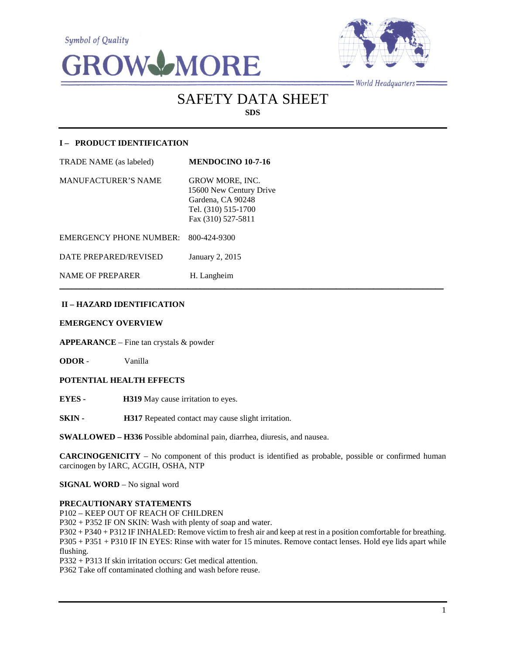**Symbol of Quality** 





 $=$  World Headquarters  $=$ 

# SAFETY DATA SHEET **SDS**

# **I – PRODUCT IDENTIFICATION**

| TRADE NAME (as labeled)        | <b>MENDOCINO 10-7-16</b>                                                                                            |
|--------------------------------|---------------------------------------------------------------------------------------------------------------------|
| <b>MANUFACTURER'S NAME</b>     | <b>GROW MORE, INC.</b><br>15600 New Century Drive<br>Gardena, CA 90248<br>Tel. (310) 515-1700<br>Fax (310) 527-5811 |
| <b>EMERGENCY PHONE NUMBER:</b> | 800-424-9300                                                                                                        |
| DATE PREPARED/REVISED          | January 2, 2015                                                                                                     |
| <b>NAME OF PREPARER</b>        | H. Langheim                                                                                                         |

# **II – HAZARD IDENTIFICATION**

#### **EMERGENCY OVERVIEW**

**APPEARANCE** – Fine tan crystals & powder

**ODOR** - Vanilla

#### **POTENTIAL HEALTH EFFECTS**

**EYES - H319** May cause irritation to eyes.

**SKIN - H317** Repeated contact may cause slight irritation.

**SWALLOWED – H336** Possible abdominal pain, diarrhea, diuresis, and nausea.

**CARCINOGENICITY** – No component of this product is identified as probable, possible or confirmed human carcinogen by IARC, ACGIH, OSHA, NTP

 $\mathcal{L}_\mathcal{L} = \mathcal{L}_\mathcal{L} = \mathcal{L}_\mathcal{L} = \mathcal{L}_\mathcal{L} = \mathcal{L}_\mathcal{L} = \mathcal{L}_\mathcal{L} = \mathcal{L}_\mathcal{L} = \mathcal{L}_\mathcal{L} = \mathcal{L}_\mathcal{L} = \mathcal{L}_\mathcal{L} = \mathcal{L}_\mathcal{L} = \mathcal{L}_\mathcal{L} = \mathcal{L}_\mathcal{L} = \mathcal{L}_\mathcal{L} = \mathcal{L}_\mathcal{L} = \mathcal{L}_\mathcal{L} = \mathcal{L}_\mathcal{L}$ 

**SIGNAL WORD** – No signal word

#### **PRECAUTIONARY STATEMENTS**

P102 – KEEP OUT OF REACH OF CHILDREN

P302 + P352 IF ON SKIN: Wash with plenty of soap and water.

P302 + P340 + P312 IF INHALED: Remove victim to fresh air and keep at rest in a position comfortable for breathing. P305 + P351 + P310 IF IN EYES: Rinse with water for 15 minutes. Remove contact lenses. Hold eye lids apart while flushing.

P332 + P313 If skin irritation occurs: Get medical attention.

P362 Take off contaminated clothing and wash before reuse.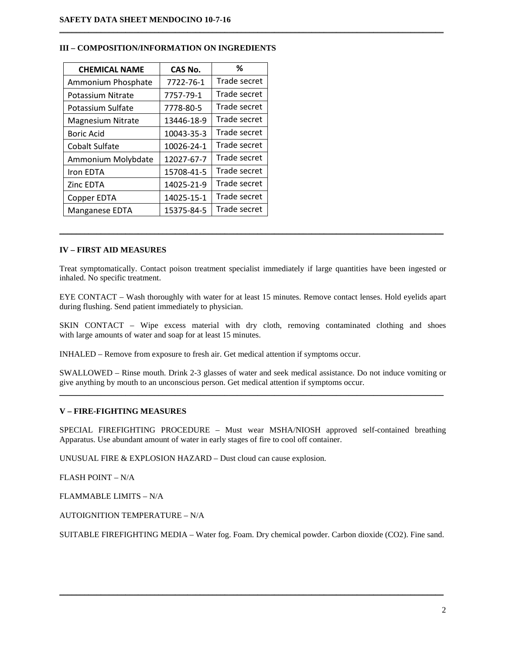| <b>CHEMICAL NAME</b>     | CAS No.    | ℅            |
|--------------------------|------------|--------------|
| Ammonium Phosphate       | 7722-76-1  | Trade secret |
| Potassium Nitrate        | 7757-79-1  | Trade secret |
| Potassium Sulfate        | 7778-80-5  | Trade secret |
| <b>Magnesium Nitrate</b> | 13446-18-9 | Trade secret |
| Boric Acid               | 10043-35-3 | Trade secret |
| <b>Cobalt Sulfate</b>    | 10026-24-1 | Trade secret |
| Ammonium Molybdate       | 12027-67-7 | Trade secret |
| Iron EDTA                | 15708-41-5 | Trade secret |
| Zinc EDTA                | 14025-21-9 | Trade secret |
| Copper EDTA              | 14025-15-1 | Trade secret |
| Manganese EDTA           | 15375-84-5 | Trade secret |

#### **III – COMPOSITION/INFORMATION ON INGREDIENTS**

# **IV – FIRST AID MEASURES**

Treat symptomatically. Contact poison treatment specialist immediately if large quantities have been ingested or inhaled. No specific treatment.

\_\_\_\_\_\_\_\_\_\_\_\_\_\_\_\_\_\_\_\_\_\_\_\_\_\_\_\_\_\_\_\_\_\_\_\_\_\_\_\_\_\_\_\_\_\_\_\_\_\_\_\_\_\_\_\_\_\_\_\_\_\_\_\_\_\_\_\_\_\_\_\_\_\_\_\_\_\_\_\_\_\_\_\_\_\_\_\_\_\_\_\_\_

 $\mathcal{L}_\mathcal{L} = \{ \mathcal{L}_\mathcal{L} = \{ \mathcal{L}_\mathcal{L} = \{ \mathcal{L}_\mathcal{L} = \{ \mathcal{L}_\mathcal{L} = \{ \mathcal{L}_\mathcal{L} = \{ \mathcal{L}_\mathcal{L} = \{ \mathcal{L}_\mathcal{L} = \{ \mathcal{L}_\mathcal{L} = \{ \mathcal{L}_\mathcal{L} = \{ \mathcal{L}_\mathcal{L} = \{ \mathcal{L}_\mathcal{L} = \{ \mathcal{L}_\mathcal{L} = \{ \mathcal{L}_\mathcal{L} = \{ \mathcal{L}_\mathcal{$ 

EYE CONTACT – Wash thoroughly with water for at least 15 minutes. Remove contact lenses. Hold eyelids apart during flushing. Send patient immediately to physician.

SKIN CONTACT – Wipe excess material with dry cloth, removing contaminated clothing and shoes with large amounts of water and soap for at least 15 minutes.

INHALED – Remove from exposure to fresh air. Get medical attention if symptoms occur.

SWALLOWED – Rinse mouth. Drink 2-3 glasses of water and seek medical assistance. Do not induce vomiting or give anything by mouth to an unconscious person. Get medical attention if symptoms occur.  $\mathcal{L}_\mathcal{L} = \{ \mathcal{L}_\mathcal{L} = \{ \mathcal{L}_\mathcal{L} = \{ \mathcal{L}_\mathcal{L} = \{ \mathcal{L}_\mathcal{L} = \{ \mathcal{L}_\mathcal{L} = \{ \mathcal{L}_\mathcal{L} = \{ \mathcal{L}_\mathcal{L} = \{ \mathcal{L}_\mathcal{L} = \{ \mathcal{L}_\mathcal{L} = \{ \mathcal{L}_\mathcal{L} = \{ \mathcal{L}_\mathcal{L} = \{ \mathcal{L}_\mathcal{L} = \{ \mathcal{L}_\mathcal{L} = \{ \mathcal{L}_\mathcal{$ 

#### **V – FIRE-FIGHTING MEASURES**

SPECIAL FIREFIGHTING PROCEDURE – Must wear MSHA/NIOSH approved self-contained breathing Apparatus. Use abundant amount of water in early stages of fire to cool off container.

UNUSUAL FIRE & EXPLOSION HAZARD – Dust cloud can cause explosion.

FLASH POINT – N/A

FLAMMABLE LIMITS – N/A

AUTOIGNITION TEMPERATURE – N/A

SUITABLE FIREFIGHTING MEDIA – Water fog. Foam. Dry chemical powder. Carbon dioxide (CO2). Fine sand.

\_\_\_\_\_\_\_\_\_\_\_\_\_\_\_\_\_\_\_\_\_\_\_\_\_\_\_\_\_\_\_\_\_\_\_\_\_\_\_\_\_\_\_\_\_\_\_\_\_\_\_\_\_\_\_\_\_\_\_\_\_\_\_\_\_\_\_\_\_\_\_\_\_\_\_\_\_\_\_\_\_\_\_\_\_\_\_\_\_\_\_\_\_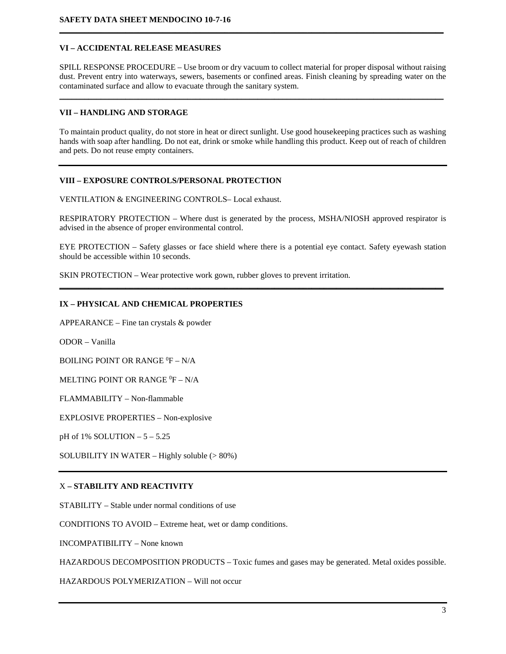# **VI – ACCIDENTAL RELEASE MEASURES**

SPILL RESPONSE PROCEDURE – Use broom or dry vacuum to collect material for proper disposal without raising dust. Prevent entry into waterways, sewers, basements or confined areas. Finish cleaning by spreading water on the contaminated surface and allow to evacuate through the sanitary system.

\_\_\_\_\_\_\_\_\_\_\_\_\_\_\_\_\_\_\_\_\_\_\_\_\_\_\_\_\_\_\_\_\_\_\_\_\_\_\_\_\_\_\_\_\_\_\_\_\_\_\_\_\_\_\_\_\_\_\_\_\_\_\_\_\_\_\_\_\_\_\_\_\_\_\_\_\_\_\_\_\_\_\_\_\_\_\_\_\_\_\_\_\_

**\_\_\_\_\_\_\_\_\_\_\_\_\_\_\_\_\_\_\_\_\_\_\_\_\_\_\_\_\_\_\_\_\_\_\_\_\_\_\_\_\_\_\_\_\_\_\_\_\_\_\_\_\_\_\_\_\_\_\_\_\_\_\_\_\_\_\_\_\_\_\_\_\_\_\_\_\_\_\_\_\_\_\_\_\_\_\_\_\_\_\_\_\_**

#### **VII – HANDLING AND STORAGE**

To maintain product quality, do not store in heat or direct sunlight. Use good housekeeping practices such as washing hands with soap after handling. Do not eat, drink or smoke while handling this product. Keep out of reach of children and pets. Do not reuse empty containers.

#### **VIII – EXPOSURE CONTROLS/PERSONAL PROTECTION**

VENTILATION & ENGINEERING CONTROLS– Local exhaust.

RESPIRATORY PROTECTION – Where dust is generated by the process, MSHA/NIOSH approved respirator is advised in the absence of proper environmental control.

EYE PROTECTION – Safety glasses or face shield where there is a potential eye contact. Safety eyewash station should be accessible within 10 seconds.

**\_\_\_\_\_\_\_\_\_\_\_\_\_\_\_\_\_\_\_\_\_\_\_\_\_\_\_\_\_\_\_\_\_\_\_\_\_\_\_\_\_\_\_\_\_\_\_\_\_\_\_\_\_\_\_\_\_\_\_\_\_\_\_\_\_\_\_\_\_\_\_\_\_\_\_\_\_\_\_\_\_\_\_\_\_\_\_\_\_\_\_\_\_**

SKIN PROTECTION – Wear protective work gown, rubber gloves to prevent irritation.

# **IX – PHYSICAL AND CHEMICAL PROPERTIES**

APPEARANCE – Fine tan crystals & powder

ODOR – Vanilla

BOILING POINT OR RANGE  $^0$ F – N/A

MELTING POINT OR RANGE  ${}^{0}\text{F} - \text{N/A}$ 

FLAMMABILITY – Non-flammable

EXPLOSIVE PROPERTIES – Non-explosive

pH of 1% SOLUTION – 5 – 5.25

SOLUBILITY IN WATER – Highly soluble  $(>80\%)$ 

#### X **– STABILITY AND REACTIVITY**

STABILITY – Stable under normal conditions of use

CONDITIONS TO AVOID – Extreme heat, wet or damp conditions.

INCOMPATIBILITY – None known

HAZARDOUS DECOMPOSITION PRODUCTS – Toxic fumes and gases may be generated. Metal oxides possible.

HAZARDOUS POLYMERIZATION – Will not occur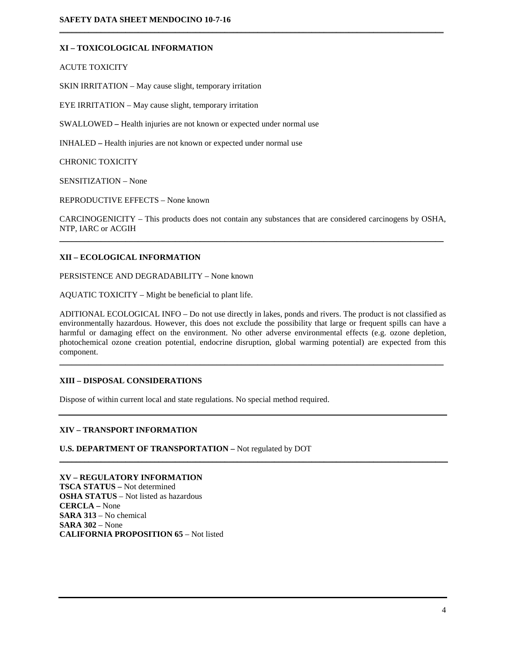# **XI – TOXICOLOGICAL INFORMATION**

ACUTE TOXICITY

SKIN IRRITATION – May cause slight, temporary irritation

EYE IRRITATION – May cause slight, temporary irritation

SWALLOWED **–** Health injuries are not known or expected under normal use

INHALED **–** Health injuries are not known or expected under normal use

CHRONIC TOXICITY

SENSITIZATION – None

REPRODUCTIVE EFFECTS – None known

CARCINOGENICITY – This products does not contain any substances that are considered carcinogens by OSHA, NTP, IARC or ACGIH \_\_\_\_\_\_\_\_\_\_\_\_\_\_\_\_\_\_\_\_\_\_\_\_\_\_\_\_\_\_\_\_\_\_\_\_\_\_\_\_\_\_\_\_\_\_\_\_\_\_\_\_\_\_\_\_\_\_\_\_\_\_\_\_\_\_\_\_\_\_\_\_\_\_\_\_\_\_\_\_\_\_\_\_\_\_\_\_\_\_\_\_\_

 $\mathcal{L}_\mathcal{L} = \{ \mathcal{L}_\mathcal{L} = \{ \mathcal{L}_\mathcal{L} = \{ \mathcal{L}_\mathcal{L} = \{ \mathcal{L}_\mathcal{L} = \{ \mathcal{L}_\mathcal{L} = \{ \mathcal{L}_\mathcal{L} = \{ \mathcal{L}_\mathcal{L} = \{ \mathcal{L}_\mathcal{L} = \{ \mathcal{L}_\mathcal{L} = \{ \mathcal{L}_\mathcal{L} = \{ \mathcal{L}_\mathcal{L} = \{ \mathcal{L}_\mathcal{L} = \{ \mathcal{L}_\mathcal{L} = \{ \mathcal{L}_\mathcal{$ 

#### **XII – ECOLOGICAL INFORMATION**

PERSISTENCE AND DEGRADABILITY – None known

AQUATIC TOXICITY – Might be beneficial to plant life.

ADITIONAL ECOLOGICAL INFO – Do not use directly in lakes, ponds and rivers. The product is not classified as environmentally hazardous. However, this does not exclude the possibility that large or frequent spills can have a harmful or damaging effect on the environment. No other adverse environmental effects (e.g. ozone depletion, photochemical ozone creation potential, endocrine disruption, global warming potential) are expected from this component.

\_\_\_\_\_\_\_\_\_\_\_\_\_\_\_\_\_\_\_\_\_\_\_\_\_\_\_\_\_\_\_\_\_\_\_\_\_\_\_\_\_\_\_\_\_\_\_\_\_\_\_\_\_\_\_\_\_\_\_\_\_\_\_\_\_\_\_\_\_\_\_\_\_\_\_\_\_\_\_\_\_\_\_\_\_\_\_\_\_\_\_\_\_

\_\_\_\_\_\_\_\_\_\_\_\_\_\_\_\_\_\_\_\_\_\_\_\_\_\_\_\_\_\_\_\_\_\_\_\_\_\_\_\_\_\_\_\_\_\_\_\_\_\_\_\_\_\_\_\_\_\_\_\_\_\_\_\_\_\_\_\_\_\_\_\_\_\_\_\_\_\_\_\_\_\_\_\_\_\_\_\_\_\_\_\_\_\_

#### **XIII – DISPOSAL CONSIDERATIONS**

Dispose of within current local and state regulations. No special method required.

#### **XIV – TRANSPORT INFORMATION**

**U.S. DEPARTMENT OF TRANSPORTATION –** Not regulated by DOT

**XV – REGULATORY INFORMATION TSCA STATUS –** Not determined **OSHA STATUS** – Not listed as hazardous **CERCLA –** None **SARA 313** – No chemical **SARA 302** – None **CALIFORNIA PROPOSITION 65** – Not listed